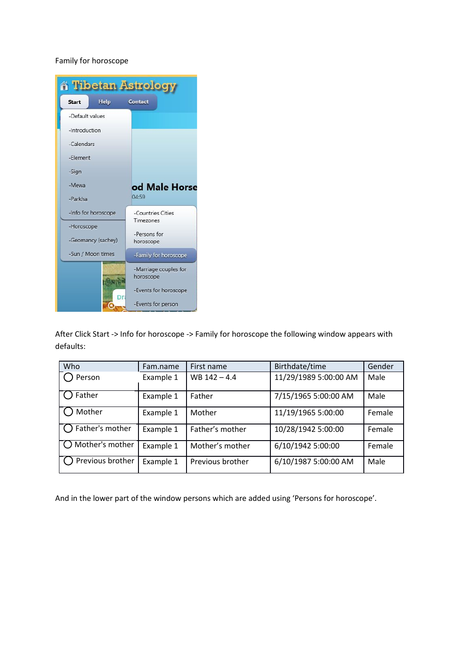## Family for horoscope

| <b>A Tibetan Astrology</b> |      |                                    |  |  |
|----------------------------|------|------------------------------------|--|--|
| <b>Start</b>               | Help | Contact                            |  |  |
| -Default values            |      |                                    |  |  |
| -Introduction              |      |                                    |  |  |
| -Calendars                 |      |                                    |  |  |
| -Flement                   |      |                                    |  |  |
| -Sign                      |      |                                    |  |  |
| -Mewa                      |      | od Male Horse                      |  |  |
| -Parkha                    |      | 04:59                              |  |  |
| -Info for horoscope        |      | -Countries Cities                  |  |  |
| -Horoscope                 |      | Timezones                          |  |  |
| -Geomancy (sachey)         |      | -Persons for<br>horoscope          |  |  |
| -Sun / Moon times          |      | -Family for horoscope              |  |  |
|                            |      | -Marriage couples for<br>horoscope |  |  |
|                            |      | -Events for horoscope              |  |  |
|                            |      | -Events for person                 |  |  |

After Click Start -> Info for horoscope -> Family for horoscope the following window appears with defaults:

| Who                | Fam.name  | First name       | Birthdate/time        | Gender |
|--------------------|-----------|------------------|-----------------------|--------|
| Person             | Example 1 | $WB 142 - 4.4$   | 11/29/1989 5:00:00 AM | Male   |
| Father             | Example 1 | Father           | 7/15/1965 5:00:00 AM  | Male   |
| Mother             | Example 1 | Mother           | 11/19/1965 5:00:00    | Female |
| ) Father's mother  | Example 1 | Father's mother  | 10/28/1942 5:00:00    | Female |
| Mother's mother    | Example 1 | Mother's mother  | 6/10/1942 5:00:00     | Female |
| ) Previous brother | Example 1 | Previous brother | 6/10/1987 5:00:00 AM  | Male   |

And in the lower part of the window persons which are added using 'Persons for horoscope'.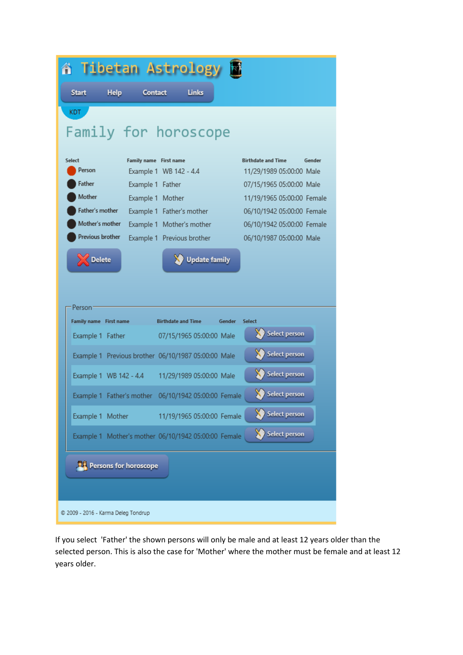| 省 Tibetan Astrology                                  |                                            |                                                      |  |  |  |
|------------------------------------------------------|--------------------------------------------|------------------------------------------------------|--|--|--|
| <b>Help</b><br><b>Start</b><br><b>Contact</b>        | <b>Links</b>                               |                                                      |  |  |  |
| KDT.                                                 |                                            |                                                      |  |  |  |
| Family for horoscope                                 |                                            |                                                      |  |  |  |
| Select<br>Person                                     | Family name First name                     | <b>Birthdate and Time</b><br>Gender                  |  |  |  |
| Father<br>Example 1 Father                           | Example 1 WB 142 - 4.4                     | 11/29/1989 05:00:00 Male<br>07/15/1965 05:00:00 Male |  |  |  |
| Mother                                               | Example 1 Mother                           | 11/19/1965 05:00:00 Female                           |  |  |  |
| Father's mother                                      | Example 1 Father's mother                  | 06/10/1942 05:00:00 Female                           |  |  |  |
| Mother's mother                                      | Example 1 Mother's mother                  | 06/10/1942 05:00:00 Female                           |  |  |  |
| Previous brother                                     | Example 1 Previous brother                 | 06/10/1987 05:00:00 Male                             |  |  |  |
| <b>Update family</b><br><b>Delete</b><br>Person:     |                                            |                                                      |  |  |  |
| <b>Family name</b> First name                        | <b>Birthdate and Time</b><br><b>Gender</b> | <b>Select</b>                                        |  |  |  |
| Example 1 Father                                     | 07/15/1965 05:00:00 Male                   | <b>Select person</b>                                 |  |  |  |
| Example 1 Previous brother 06/10/1987 05:00:00 Male  |                                            | Select person                                        |  |  |  |
| Example 1 WB 142 - 4.4 11/29/1989 05:00:00 Male      |                                            | Select person                                        |  |  |  |
| Example 1 Father's mother 06/10/1942 05:00:00 Female |                                            | Select person                                        |  |  |  |
| Example 1 Mother                                     | 11/19/1965 05:00:00 Female                 | <b>Select person</b>                                 |  |  |  |
| Example 1 Mother's mother 06/10/1942 05:00:00 Female |                                            | <b>Select person</b>                                 |  |  |  |
| <b>PLE</b> Persons for horoscope                     |                                            |                                                      |  |  |  |
| © 2009 - 2016 - Karma Deleg Tondrup                  |                                            |                                                      |  |  |  |

If you select 'Father' the shown persons will only be male and at least 12 years older than the selected person. This is also the case for 'Mother' where the mother must be female and at least 12 years older.